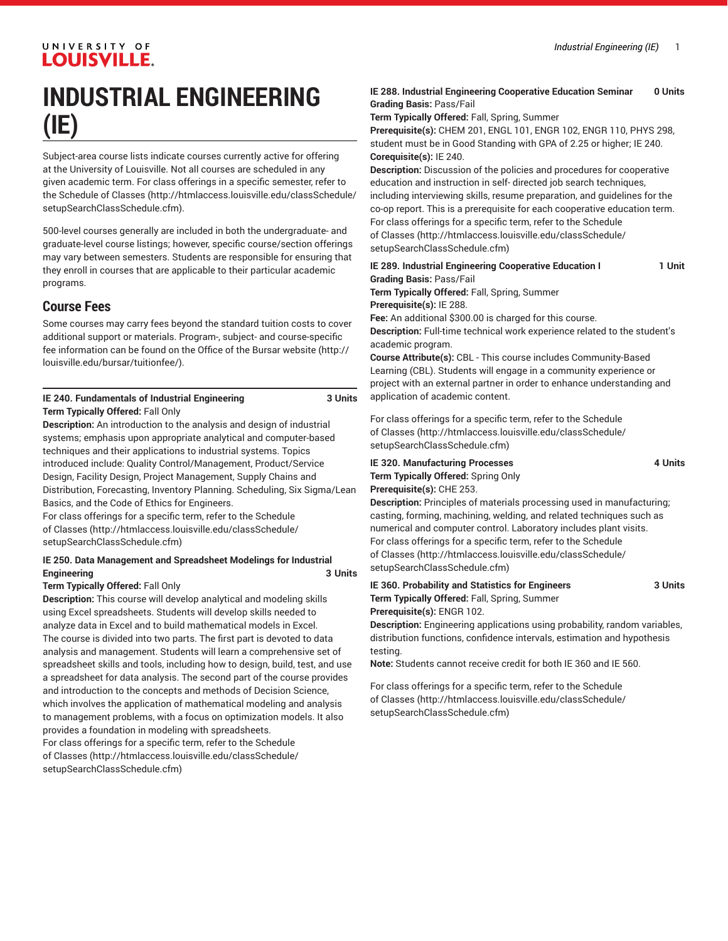# **INDUSTRIAL ENGINEERING (IE)**

Subject-area course lists indicate courses currently active for offering at the University of Louisville. Not all courses are scheduled in any given academic term. For class offerings in a specific semester, refer to the [Schedule of Classes](http://htmlaccess.louisville.edu/classSchedule/setupSearchClassSchedule.cfm) ([http://htmlaccess.louisville.edu/classSchedule/](http://htmlaccess.louisville.edu/classSchedule/setupSearchClassSchedule.cfm) [setupSearchClassSchedule.cfm\)](http://htmlaccess.louisville.edu/classSchedule/setupSearchClassSchedule.cfm).

500-level courses generally are included in both the undergraduate- and graduate-level course listings; however, specific course/section offerings may vary between semesters. Students are responsible for ensuring that they enroll in courses that are applicable to their particular academic programs.

# **Course Fees**

Some courses may carry fees beyond the standard tuition costs to cover additional support or materials. Program-, subject- and course-specific fee information can be found on the [Office of the Bursar website](http://louisville.edu/bursar/tuitionfee/) ([http://](http://louisville.edu/bursar/tuitionfee/) [louisville.edu/bursar/tuitionfee/](http://louisville.edu/bursar/tuitionfee/)).

#### **IE 240. Fundamentals of Industrial Engineering 3 Units Term Typically Offered:** Fall Only

**Description:** An introduction to the analysis and design of industrial systems; emphasis upon appropriate analytical and computer-based techniques and their applications to industrial systems. Topics introduced include: Quality Control/Management, Product/Service Design, Facility Design, Project Management, Supply Chains and Distribution, Forecasting, Inventory Planning. Scheduling, Six Sigma/Lean Basics, and the Code of Ethics for Engineers.

For class offerings for a specific term, refer to the [Schedule](http://htmlaccess.louisville.edu/classSchedule/setupSearchClassSchedule.cfm) [of Classes \(http://htmlaccess.louisville.edu/classSchedule/](http://htmlaccess.louisville.edu/classSchedule/setupSearchClassSchedule.cfm) [setupSearchClassSchedule.cfm\)](http://htmlaccess.louisville.edu/classSchedule/setupSearchClassSchedule.cfm)

#### **IE 250. Data Management and Spreadsheet Modelings for Industrial Engineering 3 Units**

#### **Term Typically Offered:** Fall Only

**Description:** This course will develop analytical and modeling skills using Excel spreadsheets. Students will develop skills needed to analyze data in Excel and to build mathematical models in Excel. The course is divided into two parts. The first part is devoted to data analysis and management. Students will learn a comprehensive set of spreadsheet skills and tools, including how to design, build, test, and use a spreadsheet for data analysis. The second part of the course provides and introduction to the concepts and methods of Decision Science, which involves the application of mathematical modeling and analysis to management problems, with a focus on optimization models. It also provides a foundation in modeling with spreadsheets. For class offerings for a specific term, refer to the [Schedule](http://htmlaccess.louisville.edu/classSchedule/setupSearchClassSchedule.cfm) [of Classes \(http://htmlaccess.louisville.edu/classSchedule/](http://htmlaccess.louisville.edu/classSchedule/setupSearchClassSchedule.cfm)

[setupSearchClassSchedule.cfm\)](http://htmlaccess.louisville.edu/classSchedule/setupSearchClassSchedule.cfm)

#### **IE 288. Industrial Engineering Cooperative Education Seminar 0 Units Grading Basis:** Pass/Fail

**Term Typically Offered:** Fall, Spring, Summer

**Prerequisite(s):** CHEM 201, ENGL 101, ENGR 102, ENGR 110, PHYS 298, student must be in Good Standing with GPA of 2.25 or higher; IE 240. **Corequisite(s):** IE 240.

**Description:** Discussion of the policies and procedures for cooperative education and instruction in self- directed job search techniques, including interviewing skills, resume preparation, and guidelines for the co-op report. This is a prerequisite for each cooperative education term. For class offerings for a specific term, refer to the [Schedule](http://htmlaccess.louisville.edu/classSchedule/setupSearchClassSchedule.cfm) [of Classes](http://htmlaccess.louisville.edu/classSchedule/setupSearchClassSchedule.cfm) ([http://htmlaccess.louisville.edu/classSchedule/](http://htmlaccess.louisville.edu/classSchedule/setupSearchClassSchedule.cfm) [setupSearchClassSchedule.cfm\)](http://htmlaccess.louisville.edu/classSchedule/setupSearchClassSchedule.cfm)

| IE 289. Industrial Engineering Cooperative Education I | 1 Unit |
|--------------------------------------------------------|--------|
| <b>Grading Basis: Pass/Fail</b>                        |        |
|                                                        |        |

**Term Typically Offered:** Fall, Spring, Summer **Prerequisite(s):** IE 288.

**Fee:** An additional \$300.00 is charged for this course. **Description:** Full-time technical work experience related to the student's academic program.

**Course Attribute(s):** CBL - This course includes Community-Based Learning (CBL). Students will engage in a community experience or project with an external partner in order to enhance understanding and application of academic content.

For class offerings for a specific term, refer to the [Schedule](http://htmlaccess.louisville.edu/classSchedule/setupSearchClassSchedule.cfm) [of Classes](http://htmlaccess.louisville.edu/classSchedule/setupSearchClassSchedule.cfm) ([http://htmlaccess.louisville.edu/classSchedule/](http://htmlaccess.louisville.edu/classSchedule/setupSearchClassSchedule.cfm) [setupSearchClassSchedule.cfm\)](http://htmlaccess.louisville.edu/classSchedule/setupSearchClassSchedule.cfm)

**IE 320. Manufacturing Processes 4 Units Term Typically Offered:** Spring Only

# **Prerequisite(s):** CHE 253.

**Description:** Principles of materials processing used in manufacturing; casting, forming, machining, welding, and related techniques such as numerical and computer control. Laboratory includes plant visits. For class offerings for a specific term, refer to the [Schedule](http://htmlaccess.louisville.edu/classSchedule/setupSearchClassSchedule.cfm) [of Classes](http://htmlaccess.louisville.edu/classSchedule/setupSearchClassSchedule.cfm) ([http://htmlaccess.louisville.edu/classSchedule/](http://htmlaccess.louisville.edu/classSchedule/setupSearchClassSchedule.cfm) [setupSearchClassSchedule.cfm\)](http://htmlaccess.louisville.edu/classSchedule/setupSearchClassSchedule.cfm)

**IE 360. Probability and Statistics for Engineers 3 Units Term Typically Offered:** Fall, Spring, Summer **Prerequisite(s):** ENGR 102.

**Description:** Engineering applications using probability, random variables, distribution functions, confidence intervals, estimation and hypothesis testing.

**Note:** Students cannot receive credit for both IE 360 and IE 560.

For class offerings for a specific term, refer to the [Schedule](http://htmlaccess.louisville.edu/classSchedule/setupSearchClassSchedule.cfm) [of Classes](http://htmlaccess.louisville.edu/classSchedule/setupSearchClassSchedule.cfm) ([http://htmlaccess.louisville.edu/classSchedule/](http://htmlaccess.louisville.edu/classSchedule/setupSearchClassSchedule.cfm) [setupSearchClassSchedule.cfm\)](http://htmlaccess.louisville.edu/classSchedule/setupSearchClassSchedule.cfm)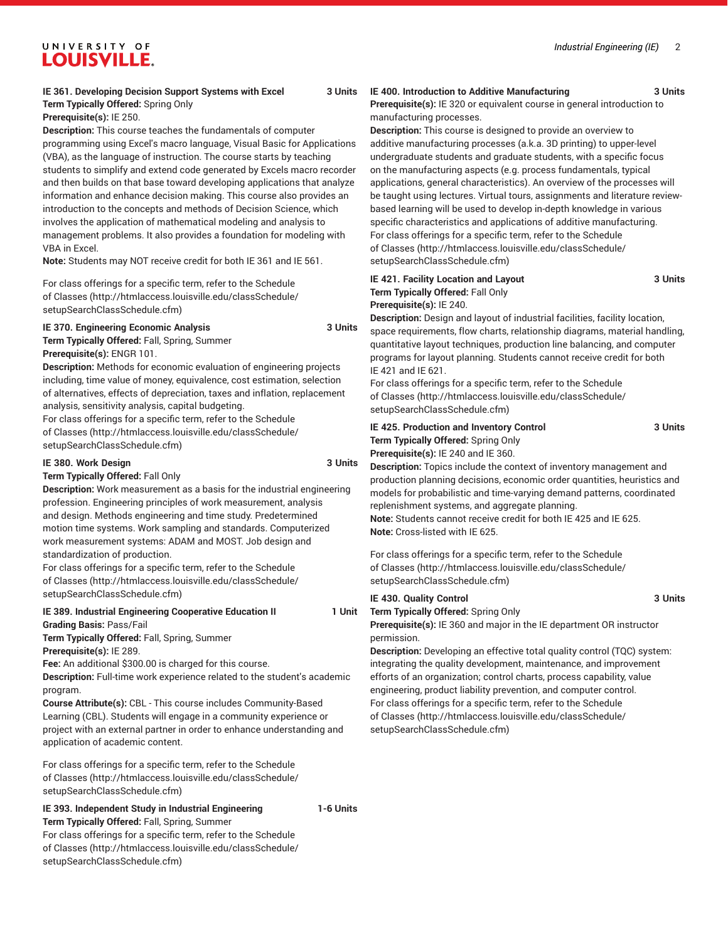*Industrial Engineering (IE)* 2

# UNIVERSITY OF **LOUISVILLE.**

#### **IE 361. Developing Decision Support Systems with Excel 3 Units Term Typically Offered:** Spring Only

**Prerequisite(s):** IE 250.

**Description:** This course teaches the fundamentals of computer programming using Excel's macro language, Visual Basic for Applications (VBA), as the language of instruction. The course starts by teaching students to simplify and extend code generated by Excels macro recorder and then builds on that base toward developing applications that analyze information and enhance decision making. This course also provides an introduction to the concepts and methods of Decision Science, which involves the application of mathematical modeling and analysis to management problems. It also provides a foundation for modeling with VBA in Excel.

**Note:** Students may NOT receive credit for both IE 361 and IE 561.

For class offerings for a specific term, refer to the [Schedule](http://htmlaccess.louisville.edu/classSchedule/setupSearchClassSchedule.cfm) [of Classes \(http://htmlaccess.louisville.edu/classSchedule/](http://htmlaccess.louisville.edu/classSchedule/setupSearchClassSchedule.cfm) [setupSearchClassSchedule.cfm\)](http://htmlaccess.louisville.edu/classSchedule/setupSearchClassSchedule.cfm)

#### **IE 370. Engineering Economic Analysis 3 Units Term Typically Offered:** Fall, Spring, Summer

**Prerequisite(s):** ENGR 101.

**Description:** Methods for economic evaluation of engineering projects including, time value of money, equivalence, cost estimation, selection of alternatives, effects of depreciation, taxes and inflation, replacement analysis, sensitivity analysis, capital budgeting.

For class offerings for a specific term, refer to the [Schedule](http://htmlaccess.louisville.edu/classSchedule/setupSearchClassSchedule.cfm) [of Classes \(http://htmlaccess.louisville.edu/classSchedule/](http://htmlaccess.louisville.edu/classSchedule/setupSearchClassSchedule.cfm) [setupSearchClassSchedule.cfm\)](http://htmlaccess.louisville.edu/classSchedule/setupSearchClassSchedule.cfm)

#### **IE 380. Work Design 3 Units**

**Term Typically Offered:** Fall Only

**Description:** Work measurement as a basis for the industrial engineering profession. Engineering principles of work measurement, analysis and design. Methods engineering and time study. Predetermined motion time systems. Work sampling and standards. Computerized work measurement systems: ADAM and MOST. Job design and standardization of production.

For class offerings for a specific term, refer to the [Schedule](http://htmlaccess.louisville.edu/classSchedule/setupSearchClassSchedule.cfm) [of Classes \(http://htmlaccess.louisville.edu/classSchedule/](http://htmlaccess.louisville.edu/classSchedule/setupSearchClassSchedule.cfm) [setupSearchClassSchedule.cfm\)](http://htmlaccess.louisville.edu/classSchedule/setupSearchClassSchedule.cfm)

### **IE 389. Industrial Engineering Cooperative Education II 1 Unit Grading Basis:** Pass/Fail

**Term Typically Offered:** Fall, Spring, Summer **Prerequisite(s):** IE 289.

**Fee:** An additional \$300.00 is charged for this course.

**Description:** Full-time work experience related to the student's academic program.

**Course Attribute(s):** CBL - This course includes Community-Based Learning (CBL). Students will engage in a community experience or project with an external partner in order to enhance understanding and application of academic content.

For class offerings for a specific term, refer to the [Schedule](http://htmlaccess.louisville.edu/classSchedule/setupSearchClassSchedule.cfm) [of Classes \(http://htmlaccess.louisville.edu/classSchedule/](http://htmlaccess.louisville.edu/classSchedule/setupSearchClassSchedule.cfm) [setupSearchClassSchedule.cfm\)](http://htmlaccess.louisville.edu/classSchedule/setupSearchClassSchedule.cfm)

### **IE 393. Independent Study in Industrial Engineering 1-6 Units Term Typically Offered:** Fall, Spring, Summer

For class offerings for a specific term, refer to the [Schedule](http://htmlaccess.louisville.edu/classSchedule/setupSearchClassSchedule.cfm) [of Classes \(http://htmlaccess.louisville.edu/classSchedule/](http://htmlaccess.louisville.edu/classSchedule/setupSearchClassSchedule.cfm) [setupSearchClassSchedule.cfm\)](http://htmlaccess.louisville.edu/classSchedule/setupSearchClassSchedule.cfm)

#### **IE 400. Introduction to Additive Manufacturing 3 Units Prerequisite(s):** IE 320 or equivalent course in general introduction to

manufacturing processes.

**Description:** This course is designed to provide an overview to additive manufacturing processes (a.k.a. 3D printing) to upper-level undergraduate students and graduate students, with a specific focus on the manufacturing aspects (e.g. process fundamentals, typical applications, general characteristics). An overview of the processes will be taught using lectures. Virtual tours, assignments and literature reviewbased learning will be used to develop in-depth knowledge in various specific characteristics and applications of additive manufacturing. For class offerings for a specific term, refer to the [Schedule](http://htmlaccess.louisville.edu/classSchedule/setupSearchClassSchedule.cfm) [of Classes](http://htmlaccess.louisville.edu/classSchedule/setupSearchClassSchedule.cfm) ([http://htmlaccess.louisville.edu/classSchedule/](http://htmlaccess.louisville.edu/classSchedule/setupSearchClassSchedule.cfm) [setupSearchClassSchedule.cfm\)](http://htmlaccess.louisville.edu/classSchedule/setupSearchClassSchedule.cfm)

#### **IE 421. Facility Location and Layout 3 Units Term Typically Offered:** Fall Only **Prerequisite(s):** IE 240.

**Description:** Design and layout of industrial facilities, facility location, space requirements, flow charts, relationship diagrams, material handling, quantitative layout techniques, production line balancing, and computer programs for layout planning. Students cannot receive credit for both IE 421 and IE 621.

For class offerings for a specific term, refer to the [Schedule](http://htmlaccess.louisville.edu/classSchedule/setupSearchClassSchedule.cfm) [of Classes](http://htmlaccess.louisville.edu/classSchedule/setupSearchClassSchedule.cfm) ([http://htmlaccess.louisville.edu/classSchedule/](http://htmlaccess.louisville.edu/classSchedule/setupSearchClassSchedule.cfm) [setupSearchClassSchedule.cfm\)](http://htmlaccess.louisville.edu/classSchedule/setupSearchClassSchedule.cfm)

#### **IE 425. Production and Inventory Control 3 Units Term Typically Offered:** Spring Only **Prerequisite(s):** IE 240 and IE 360.

**Description:** Topics include the context of inventory management and production planning decisions, economic order quantities, heuristics and models for probabilistic and time-varying demand patterns, coordinated replenishment systems, and aggregate planning. **Note:** Students cannot receive credit for both IE 425 and IE 625. **Note:** Cross-listed with IE 625.

For class offerings for a specific term, refer to the [Schedule](http://htmlaccess.louisville.edu/classSchedule/setupSearchClassSchedule.cfm) [of Classes](http://htmlaccess.louisville.edu/classSchedule/setupSearchClassSchedule.cfm) ([http://htmlaccess.louisville.edu/classSchedule/](http://htmlaccess.louisville.edu/classSchedule/setupSearchClassSchedule.cfm) [setupSearchClassSchedule.cfm\)](http://htmlaccess.louisville.edu/classSchedule/setupSearchClassSchedule.cfm)

**IE 430. Quality Control 3 Units**

**Term Typically Offered:** Spring Only

**Prerequisite(s):** IE 360 and major in the IE department OR instructor permission.

**Description:** Developing an effective total quality control (TQC) system: integrating the quality development, maintenance, and improvement efforts of an organization; control charts, process capability, value engineering, product liability prevention, and computer control. For class offerings for a specific term, refer to the [Schedule](http://htmlaccess.louisville.edu/classSchedule/setupSearchClassSchedule.cfm) [of Classes](http://htmlaccess.louisville.edu/classSchedule/setupSearchClassSchedule.cfm) ([http://htmlaccess.louisville.edu/classSchedule/](http://htmlaccess.louisville.edu/classSchedule/setupSearchClassSchedule.cfm) [setupSearchClassSchedule.cfm\)](http://htmlaccess.louisville.edu/classSchedule/setupSearchClassSchedule.cfm)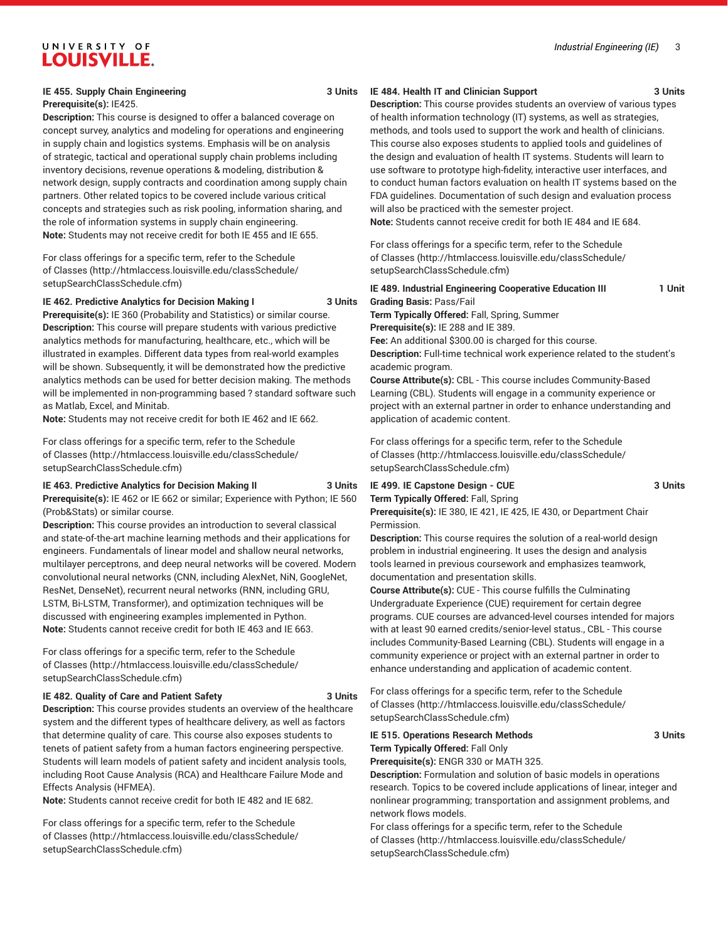#### **IE 455. Supply Chain Engineering 3 Units Prerequisite(s):** IE425.

**Description:** This course is designed to offer a balanced coverage on concept survey, analytics and modeling for operations and engineering in supply chain and logistics systems. Emphasis will be on analysis of strategic, tactical and operational supply chain problems including inventory decisions, revenue operations & modeling, distribution & network design, supply contracts and coordination among supply chain partners. Other related topics to be covered include various critical concepts and strategies such as risk pooling, information sharing, and the role of information systems in supply chain engineering. **Note:** Students may not receive credit for both IE 455 and IE 655.

For class offerings for a specific term, refer to the [Schedule](http://htmlaccess.louisville.edu/classSchedule/setupSearchClassSchedule.cfm) [of Classes \(http://htmlaccess.louisville.edu/classSchedule/](http://htmlaccess.louisville.edu/classSchedule/setupSearchClassSchedule.cfm) [setupSearchClassSchedule.cfm\)](http://htmlaccess.louisville.edu/classSchedule/setupSearchClassSchedule.cfm)

#### **IE 462. Predictive Analytics for Decision Making I 3 Units**

**Prerequisite(s):** IE 360 (Probability and Statistics) or similar course. **Description:** This course will prepare students with various predictive analytics methods for manufacturing, healthcare, etc., which will be illustrated in examples. Different data types from real-world examples will be shown. Subsequently, it will be demonstrated how the predictive analytics methods can be used for better decision making. The methods will be implemented in non-programming based ? standard software such as Matlab, Excel, and Minitab.

**Note:** Students may not receive credit for both IE 462 and IE 662.

For class offerings for a specific term, refer to the [Schedule](http://htmlaccess.louisville.edu/classSchedule/setupSearchClassSchedule.cfm) [of Classes \(http://htmlaccess.louisville.edu/classSchedule/](http://htmlaccess.louisville.edu/classSchedule/setupSearchClassSchedule.cfm) [setupSearchClassSchedule.cfm\)](http://htmlaccess.louisville.edu/classSchedule/setupSearchClassSchedule.cfm)

**IE 463. Predictive Analytics for Decision Making II 3 Units Prerequisite(s):** IE 462 or IE 662 or similar; Experience with Python; IE 560 (Prob&Stats) or similar course.

**Description:** This course provides an introduction to several classical and state-of-the-art machine learning methods and their applications for engineers. Fundamentals of linear model and shallow neural networks, multilayer perceptrons, and deep neural networks will be covered. Modern convolutional neural networks (CNN, including AlexNet, NiN, GoogleNet, ResNet, DenseNet), recurrent neural networks (RNN, including GRU, LSTM, Bi-LSTM, Transformer), and optimization techniques will be discussed with engineering examples implemented in Python. **Note:** Students cannot receive credit for both IE 463 and IE 663.

For class offerings for a specific term, refer to the [Schedule](http://htmlaccess.louisville.edu/classSchedule/setupSearchClassSchedule.cfm) [of Classes \(http://htmlaccess.louisville.edu/classSchedule/](http://htmlaccess.louisville.edu/classSchedule/setupSearchClassSchedule.cfm) [setupSearchClassSchedule.cfm\)](http://htmlaccess.louisville.edu/classSchedule/setupSearchClassSchedule.cfm)

#### **IE 482. Quality of Care and Patient Safety 3 Units**

**Description:** This course provides students an overview of the healthcare system and the different types of healthcare delivery, as well as factors that determine quality of care. This course also exposes students to tenets of patient safety from a human factors engineering perspective. Students will learn models of patient safety and incident analysis tools, including Root Cause Analysis (RCA) and Healthcare Failure Mode and Effects Analysis (HFMEA).

**Note:** Students cannot receive credit for both IE 482 and IE 682.

For class offerings for a specific term, refer to the [Schedule](http://htmlaccess.louisville.edu/classSchedule/setupSearchClassSchedule.cfm) [of Classes \(http://htmlaccess.louisville.edu/classSchedule/](http://htmlaccess.louisville.edu/classSchedule/setupSearchClassSchedule.cfm) [setupSearchClassSchedule.cfm\)](http://htmlaccess.louisville.edu/classSchedule/setupSearchClassSchedule.cfm)

#### **IE 484. Health IT and Clinician Support 3 Units**

**Description:** This course provides students an overview of various types of health information technology (IT) systems, as well as strategies, methods, and tools used to support the work and health of clinicians. This course also exposes students to applied tools and guidelines of the design and evaluation of health IT systems. Students will learn to use software to prototype high-fidelity, interactive user interfaces, and to conduct human factors evaluation on health IT systems based on the FDA guidelines. Documentation of such design and evaluation process will also be practiced with the semester project.

**Note:** Students cannot receive credit for both IE 484 and IE 684.

For class offerings for a specific term, refer to the [Schedule](http://htmlaccess.louisville.edu/classSchedule/setupSearchClassSchedule.cfm) [of Classes](http://htmlaccess.louisville.edu/classSchedule/setupSearchClassSchedule.cfm) ([http://htmlaccess.louisville.edu/classSchedule/](http://htmlaccess.louisville.edu/classSchedule/setupSearchClassSchedule.cfm) [setupSearchClassSchedule.cfm\)](http://htmlaccess.louisville.edu/classSchedule/setupSearchClassSchedule.cfm)

**IE 489. Industrial Engineering Cooperative Education III 1 Unit Grading Basis:** Pass/Fail **Term Typically Offered:** Fall, Spring, Summer **Prerequisite(s):** IE 288 and IE 389. **Fee:** An additional \$300.00 is charged for this course. **Description:** Full-time technical work experience related to the student's academic program. **Course Attribute(s):** CBL - This course includes Community-Based

Learning (CBL). Students will engage in a community experience or project with an external partner in order to enhance understanding and application of academic content.

For class offerings for a specific term, refer to the [Schedule](http://htmlaccess.louisville.edu/classSchedule/setupSearchClassSchedule.cfm) [of Classes](http://htmlaccess.louisville.edu/classSchedule/setupSearchClassSchedule.cfm) ([http://htmlaccess.louisville.edu/classSchedule/](http://htmlaccess.louisville.edu/classSchedule/setupSearchClassSchedule.cfm) [setupSearchClassSchedule.cfm\)](http://htmlaccess.louisville.edu/classSchedule/setupSearchClassSchedule.cfm)

#### **IE 499. IE Capstone Design - CUE 3 Units Term Typically Offered:** Fall, Spring

**Prerequisite(s):** IE 380, IE 421, IE 425, IE 430, or Department Chair Permission.

**Description:** This course requires the solution of a real-world design problem in industrial engineering. It uses the design and analysis tools learned in previous coursework and emphasizes teamwork, documentation and presentation skills.

**Course Attribute(s):** CUE - This course fulfills the Culminating Undergraduate Experience (CUE) requirement for certain degree programs. CUE courses are advanced-level courses intended for majors with at least 90 earned credits/senior-level status., CBL - This course includes Community-Based Learning (CBL). Students will engage in a community experience or project with an external partner in order to enhance understanding and application of academic content.

For class offerings for a specific term, refer to the [Schedule](http://htmlaccess.louisville.edu/classSchedule/setupSearchClassSchedule.cfm) [of Classes](http://htmlaccess.louisville.edu/classSchedule/setupSearchClassSchedule.cfm) ([http://htmlaccess.louisville.edu/classSchedule/](http://htmlaccess.louisville.edu/classSchedule/setupSearchClassSchedule.cfm) [setupSearchClassSchedule.cfm\)](http://htmlaccess.louisville.edu/classSchedule/setupSearchClassSchedule.cfm)

# **IE 515. Operations Research Methods 3 Units Term Typically Offered:** Fall Only

**Prerequisite(s):** ENGR 330 or MATH 325.

**Description:** Formulation and solution of basic models in operations research. Topics to be covered include applications of linear, integer and nonlinear programming; transportation and assignment problems, and network flows models.

For class offerings for a specific term, refer to the [Schedule](http://htmlaccess.louisville.edu/classSchedule/setupSearchClassSchedule.cfm) [of Classes](http://htmlaccess.louisville.edu/classSchedule/setupSearchClassSchedule.cfm) ([http://htmlaccess.louisville.edu/classSchedule/](http://htmlaccess.louisville.edu/classSchedule/setupSearchClassSchedule.cfm) [setupSearchClassSchedule.cfm\)](http://htmlaccess.louisville.edu/classSchedule/setupSearchClassSchedule.cfm)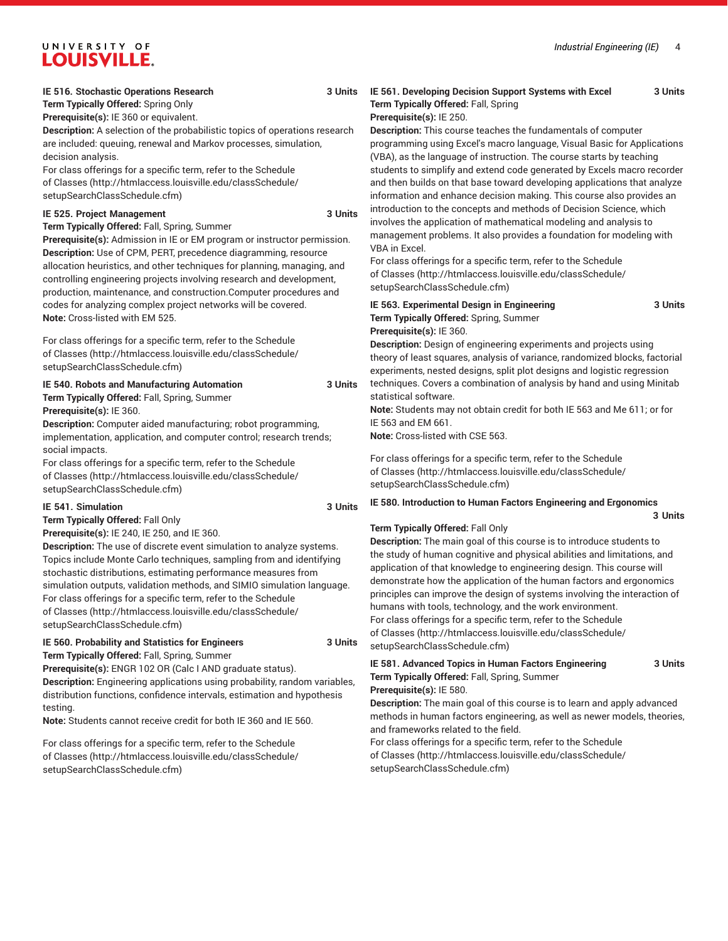#### **IE 516. Stochastic Operations Research 3 Units**

**Term Typically Offered:** Spring Only

**Prerequisite(s):** IE 360 or equivalent.

**Description:** A selection of the probabilistic topics of operations research are included: queuing, renewal and Markov processes, simulation, decision analysis.

For class offerings for a specific term, refer to the [Schedule](http://htmlaccess.louisville.edu/classSchedule/setupSearchClassSchedule.cfm) [of Classes \(http://htmlaccess.louisville.edu/classSchedule/](http://htmlaccess.louisville.edu/classSchedule/setupSearchClassSchedule.cfm) [setupSearchClassSchedule.cfm\)](http://htmlaccess.louisville.edu/classSchedule/setupSearchClassSchedule.cfm)

#### **IE 525. Project Management** 3 Units

**Term Typically Offered:** Fall, Spring, Summer

**Prerequisite(s):** Admission in IE or EM program or instructor permission. **Description:** Use of CPM, PERT, precedence diagramming, resource allocation heuristics, and other techniques for planning, managing, and controlling engineering projects involving research and development, production, maintenance, and construction.Computer procedures and codes for analyzing complex project networks will be covered. **Note:** Cross-listed with EM 525.

For class offerings for a specific term, refer to the [Schedule](http://htmlaccess.louisville.edu/classSchedule/setupSearchClassSchedule.cfm) [of Classes \(http://htmlaccess.louisville.edu/classSchedule/](http://htmlaccess.louisville.edu/classSchedule/setupSearchClassSchedule.cfm) [setupSearchClassSchedule.cfm\)](http://htmlaccess.louisville.edu/classSchedule/setupSearchClassSchedule.cfm)

**IE 540. Robots and Manufacturing Automation 3 Units Term Typically Offered:** Fall, Spring, Summer **Prerequisite(s):** IE 360.

**Description:** Computer aided manufacturing; robot programming, implementation, application, and computer control; research trends; social impacts.

For class offerings for a specific term, refer to the [Schedule](http://htmlaccess.louisville.edu/classSchedule/setupSearchClassSchedule.cfm) [of Classes \(http://htmlaccess.louisville.edu/classSchedule/](http://htmlaccess.louisville.edu/classSchedule/setupSearchClassSchedule.cfm) [setupSearchClassSchedule.cfm\)](http://htmlaccess.louisville.edu/classSchedule/setupSearchClassSchedule.cfm)

#### **IE 541. Simulation 3 Units**

**Term Typically Offered:** Fall Only

**Prerequisite(s):** IE 240, IE 250, and IE 360.

**Description:** The use of discrete event simulation to analyze systems. Topics include Monte Carlo techniques, sampling from and identifying stochastic distributions, estimating performance measures from simulation outputs, validation methods, and SIMIO simulation language. For class offerings for a specific term, refer to the [Schedule](http://htmlaccess.louisville.edu/classSchedule/setupSearchClassSchedule.cfm) [of Classes \(http://htmlaccess.louisville.edu/classSchedule/](http://htmlaccess.louisville.edu/classSchedule/setupSearchClassSchedule.cfm) [setupSearchClassSchedule.cfm\)](http://htmlaccess.louisville.edu/classSchedule/setupSearchClassSchedule.cfm)

#### **IE 560. Probability and Statistics for Engineers 3 Units Term Typically Offered:** Fall, Spring, Summer

**Prerequisite(s):** ENGR 102 OR (Calc I AND graduate status).

**Description:** Engineering applications using probability, random variables, distribution functions, confidence intervals, estimation and hypothesis testing.

**Note:** Students cannot receive credit for both IE 360 and IE 560.

For class offerings for a specific term, refer to the [Schedule](http://htmlaccess.louisville.edu/classSchedule/setupSearchClassSchedule.cfm) [of Classes \(http://htmlaccess.louisville.edu/classSchedule/](http://htmlaccess.louisville.edu/classSchedule/setupSearchClassSchedule.cfm) [setupSearchClassSchedule.cfm\)](http://htmlaccess.louisville.edu/classSchedule/setupSearchClassSchedule.cfm)

# **IE 561. Developing Decision Support Systems with Excel 3 Units Term Typically Offered:** Fall, Spring

#### **Prerequisite(s):** IE 250.

**Description:** This course teaches the fundamentals of computer programming using Excel's macro language, Visual Basic for Applications (VBA), as the language of instruction. The course starts by teaching students to simplify and extend code generated by Excels macro recorder and then builds on that base toward developing applications that analyze information and enhance decision making. This course also provides an introduction to the concepts and methods of Decision Science, which involves the application of mathematical modeling and analysis to management problems. It also provides a foundation for modeling with VBA in Excel.

For class offerings for a specific term, refer to the [Schedule](http://htmlaccess.louisville.edu/classSchedule/setupSearchClassSchedule.cfm) [of Classes](http://htmlaccess.louisville.edu/classSchedule/setupSearchClassSchedule.cfm) ([http://htmlaccess.louisville.edu/classSchedule/](http://htmlaccess.louisville.edu/classSchedule/setupSearchClassSchedule.cfm) [setupSearchClassSchedule.cfm\)](http://htmlaccess.louisville.edu/classSchedule/setupSearchClassSchedule.cfm)

**IE 563. Experimental Design in Engineering 3 Units Term Typically Offered:** Spring, Summer **Prerequisite(s):** IE 360.

**Description:** Design of engineering experiments and projects using theory of least squares, analysis of variance, randomized blocks, factorial experiments, nested designs, split plot designs and logistic regression techniques. Covers a combination of analysis by hand and using Minitab statistical software.

**Note:** Students may not obtain credit for both IE 563 and Me 611; or for IE 563 and EM 661.

**Note:** Cross-listed with CSE 563.

For class offerings for a specific term, refer to the [Schedule](http://htmlaccess.louisville.edu/classSchedule/setupSearchClassSchedule.cfm) [of Classes](http://htmlaccess.louisville.edu/classSchedule/setupSearchClassSchedule.cfm) ([http://htmlaccess.louisville.edu/classSchedule/](http://htmlaccess.louisville.edu/classSchedule/setupSearchClassSchedule.cfm) [setupSearchClassSchedule.cfm\)](http://htmlaccess.louisville.edu/classSchedule/setupSearchClassSchedule.cfm)

#### **IE 580. Introduction to Human Factors Engineering and Ergonomics 3 Units**

#### **Term Typically Offered:** Fall Only

**Description:** The main goal of this course is to introduce students to the study of human cognitive and physical abilities and limitations, and application of that knowledge to engineering design. This course will demonstrate how the application of the human factors and ergonomics principles can improve the design of systems involving the interaction of humans with tools, technology, and the work environment. For class offerings for a specific term, refer to the [Schedule](http://htmlaccess.louisville.edu/classSchedule/setupSearchClassSchedule.cfm) [of Classes](http://htmlaccess.louisville.edu/classSchedule/setupSearchClassSchedule.cfm) ([http://htmlaccess.louisville.edu/classSchedule/](http://htmlaccess.louisville.edu/classSchedule/setupSearchClassSchedule.cfm) [setupSearchClassSchedule.cfm\)](http://htmlaccess.louisville.edu/classSchedule/setupSearchClassSchedule.cfm)

#### **IE 581. Advanced Topics in Human Factors Engineering 3 Units Term Typically Offered:** Fall, Spring, Summer **Prerequisite(s):** IE 580.

**Description:** The main goal of this course is to learn and apply advanced methods in human factors engineering, as well as newer models, theories, and frameworks related to the field.

For class offerings for a specific term, refer to the [Schedule](http://htmlaccess.louisville.edu/classSchedule/setupSearchClassSchedule.cfm) [of Classes](http://htmlaccess.louisville.edu/classSchedule/setupSearchClassSchedule.cfm) ([http://htmlaccess.louisville.edu/classSchedule/](http://htmlaccess.louisville.edu/classSchedule/setupSearchClassSchedule.cfm) [setupSearchClassSchedule.cfm\)](http://htmlaccess.louisville.edu/classSchedule/setupSearchClassSchedule.cfm)